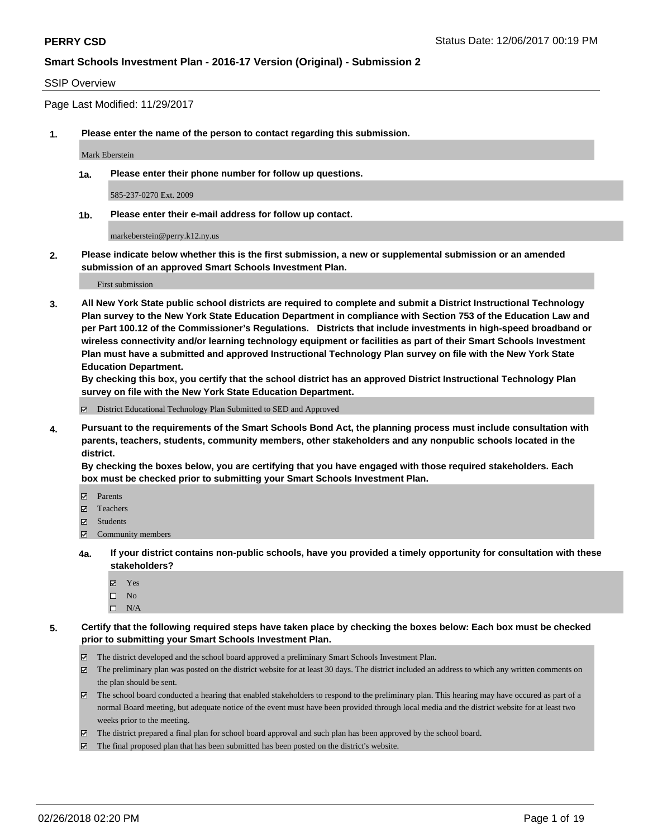### SSIP Overview

Page Last Modified: 11/29/2017

**1. Please enter the name of the person to contact regarding this submission.**

Mark Eberstein

**1a. Please enter their phone number for follow up questions.**

585-237-0270 Ext. 2009

**1b. Please enter their e-mail address for follow up contact.**

markeberstein@perry.k12.ny.us

**2. Please indicate below whether this is the first submission, a new or supplemental submission or an amended submission of an approved Smart Schools Investment Plan.**

First submission

**3. All New York State public school districts are required to complete and submit a District Instructional Technology Plan survey to the New York State Education Department in compliance with Section 753 of the Education Law and per Part 100.12 of the Commissioner's Regulations. Districts that include investments in high-speed broadband or wireless connectivity and/or learning technology equipment or facilities as part of their Smart Schools Investment Plan must have a submitted and approved Instructional Technology Plan survey on file with the New York State Education Department.** 

**By checking this box, you certify that the school district has an approved District Instructional Technology Plan survey on file with the New York State Education Department.**

District Educational Technology Plan Submitted to SED and Approved

**4. Pursuant to the requirements of the Smart Schools Bond Act, the planning process must include consultation with parents, teachers, students, community members, other stakeholders and any nonpublic schools located in the district.** 

**By checking the boxes below, you are certifying that you have engaged with those required stakeholders. Each box must be checked prior to submitting your Smart Schools Investment Plan.**

- Parents
- Teachers
- Students
- Community members
- **4a. If your district contains non-public schools, have you provided a timely opportunity for consultation with these stakeholders?**
	- Yes
	- $\square$  No
	- $\square$  N/A
- **5. Certify that the following required steps have taken place by checking the boxes below: Each box must be checked prior to submitting your Smart Schools Investment Plan.**
	- The district developed and the school board approved a preliminary Smart Schools Investment Plan.
	- $\boxtimes$  The preliminary plan was posted on the district website for at least 30 days. The district included an address to which any written comments on the plan should be sent.
	- $\boxtimes$  The school board conducted a hearing that enabled stakeholders to respond to the preliminary plan. This hearing may have occured as part of a normal Board meeting, but adequate notice of the event must have been provided through local media and the district website for at least two weeks prior to the meeting.
	- The district prepared a final plan for school board approval and such plan has been approved by the school board.
	- $\boxtimes$  The final proposed plan that has been submitted has been posted on the district's website.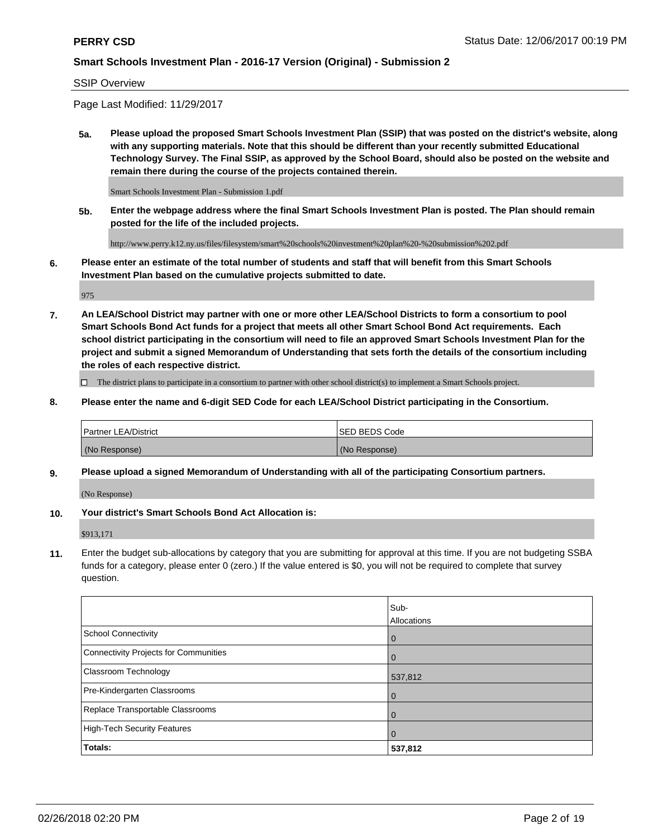### SSIP Overview

Page Last Modified: 11/29/2017

**5a. Please upload the proposed Smart Schools Investment Plan (SSIP) that was posted on the district's website, along with any supporting materials. Note that this should be different than your recently submitted Educational Technology Survey. The Final SSIP, as approved by the School Board, should also be posted on the website and remain there during the course of the projects contained therein.**

Smart Schools Investment Plan - Submission 1.pdf

**5b. Enter the webpage address where the final Smart Schools Investment Plan is posted. The Plan should remain posted for the life of the included projects.**

http://www.perry.k12.ny.us/files/filesystem/smart%20schools%20investment%20plan%20-%20submission%202.pdf

**6. Please enter an estimate of the total number of students and staff that will benefit from this Smart Schools Investment Plan based on the cumulative projects submitted to date.**

975

**7. An LEA/School District may partner with one or more other LEA/School Districts to form a consortium to pool Smart Schools Bond Act funds for a project that meets all other Smart School Bond Act requirements. Each school district participating in the consortium will need to file an approved Smart Schools Investment Plan for the project and submit a signed Memorandum of Understanding that sets forth the details of the consortium including the roles of each respective district.**

 $\Box$  The district plans to participate in a consortium to partner with other school district(s) to implement a Smart Schools project.

**8. Please enter the name and 6-digit SED Code for each LEA/School District participating in the Consortium.**

| <b>Partner LEA/District</b> | <b>ISED BEDS Code</b> |
|-----------------------------|-----------------------|
| (No Response)               | (No Response)         |

### **9. Please upload a signed Memorandum of Understanding with all of the participating Consortium partners.**

(No Response)

**10. Your district's Smart Schools Bond Act Allocation is:**

\$913,171

**11.** Enter the budget sub-allocations by category that you are submitting for approval at this time. If you are not budgeting SSBA funds for a category, please enter 0 (zero.) If the value entered is \$0, you will not be required to complete that survey question.

|                                       | Sub-<br>Allocations |
|---------------------------------------|---------------------|
| School Connectivity                   | l 0                 |
| Connectivity Projects for Communities | $\overline{0}$      |
| <b>Classroom Technology</b>           | 537,812             |
| Pre-Kindergarten Classrooms           | l 0                 |
| Replace Transportable Classrooms      | 0                   |
| High-Tech Security Features           | $\overline{0}$      |
| <b>Totals:</b>                        | 537,812             |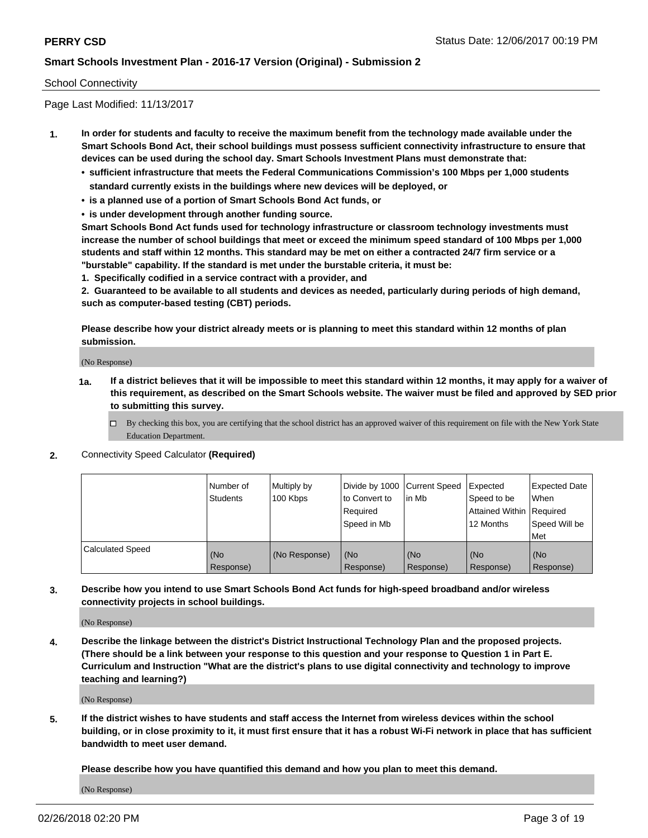### School Connectivity

Page Last Modified: 11/13/2017

- **1. In order for students and faculty to receive the maximum benefit from the technology made available under the Smart Schools Bond Act, their school buildings must possess sufficient connectivity infrastructure to ensure that devices can be used during the school day. Smart Schools Investment Plans must demonstrate that:**
	- **• sufficient infrastructure that meets the Federal Communications Commission's 100 Mbps per 1,000 students standard currently exists in the buildings where new devices will be deployed, or**
	- **• is a planned use of a portion of Smart Schools Bond Act funds, or**
	- **• is under development through another funding source.**

**Smart Schools Bond Act funds used for technology infrastructure or classroom technology investments must increase the number of school buildings that meet or exceed the minimum speed standard of 100 Mbps per 1,000 students and staff within 12 months. This standard may be met on either a contracted 24/7 firm service or a "burstable" capability. If the standard is met under the burstable criteria, it must be:**

**1. Specifically codified in a service contract with a provider, and**

**2. Guaranteed to be available to all students and devices as needed, particularly during periods of high demand, such as computer-based testing (CBT) periods.**

**Please describe how your district already meets or is planning to meet this standard within 12 months of plan submission.**

(No Response)

- **1a. If a district believes that it will be impossible to meet this standard within 12 months, it may apply for a waiver of this requirement, as described on the Smart Schools website. The waiver must be filed and approved by SED prior to submitting this survey.**
	- By checking this box, you are certifying that the school district has an approved waiver of this requirement on file with the New York State Education Department.
- **2.** Connectivity Speed Calculator **(Required)**

|                         | l Number of<br>Students | Multiply by<br>100 Kbps | Divide by 1000 Current Speed<br>to Convert to<br>Required<br>Speed in Mb | lin Mb           | Expected<br>Speed to be<br>Attained Within   Required<br>12 Months | <b>Expected Date</b><br>When<br>Speed Will be<br>Met |
|-------------------------|-------------------------|-------------------------|--------------------------------------------------------------------------|------------------|--------------------------------------------------------------------|------------------------------------------------------|
| <b>Calculated Speed</b> | (No<br>Response)        | (No Response)           | (No<br>Response)                                                         | (No<br>Response) | (No<br>Response)                                                   | l (No<br>Response)                                   |

**3. Describe how you intend to use Smart Schools Bond Act funds for high-speed broadband and/or wireless connectivity projects in school buildings.**

(No Response)

**4. Describe the linkage between the district's District Instructional Technology Plan and the proposed projects. (There should be a link between your response to this question and your response to Question 1 in Part E. Curriculum and Instruction "What are the district's plans to use digital connectivity and technology to improve teaching and learning?)**

(No Response)

**5. If the district wishes to have students and staff access the Internet from wireless devices within the school building, or in close proximity to it, it must first ensure that it has a robust Wi-Fi network in place that has sufficient bandwidth to meet user demand.**

**Please describe how you have quantified this demand and how you plan to meet this demand.**

(No Response)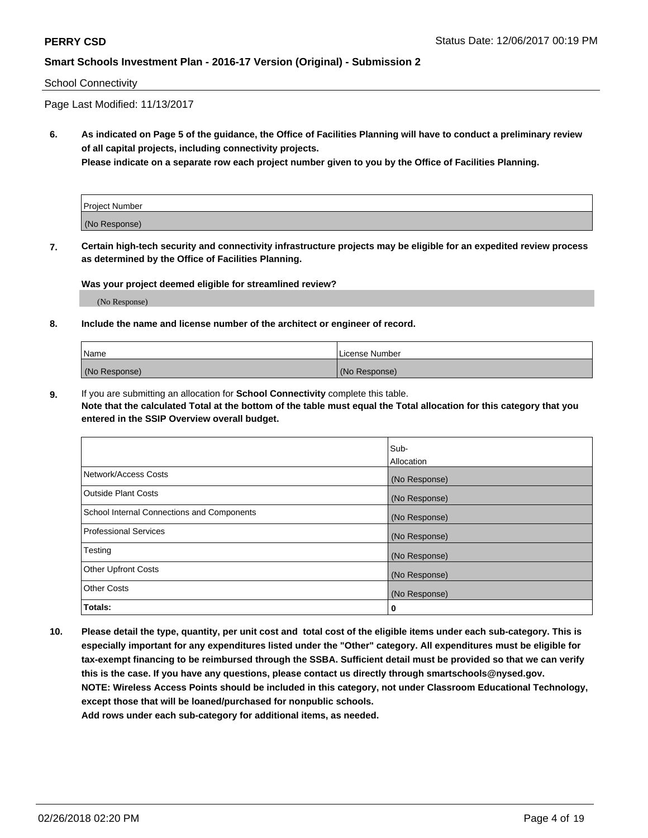### School Connectivity

Page Last Modified: 11/13/2017

**6. As indicated on Page 5 of the guidance, the Office of Facilities Planning will have to conduct a preliminary review of all capital projects, including connectivity projects.**

**Please indicate on a separate row each project number given to you by the Office of Facilities Planning.**

| Project Number |  |
|----------------|--|
| (No Response)  |  |

**7. Certain high-tech security and connectivity infrastructure projects may be eligible for an expedited review process as determined by the Office of Facilities Planning.**

#### **Was your project deemed eligible for streamlined review?**

(No Response)

#### **8. Include the name and license number of the architect or engineer of record.**

| Name          | License Number |
|---------------|----------------|
| (No Response) | (No Response)  |

**9.** If you are submitting an allocation for **School Connectivity** complete this table.

**Note that the calculated Total at the bottom of the table must equal the Total allocation for this category that you entered in the SSIP Overview overall budget.** 

|                                            | Sub-          |
|--------------------------------------------|---------------|
|                                            | Allocation    |
| Network/Access Costs                       | (No Response) |
| Outside Plant Costs                        | (No Response) |
| School Internal Connections and Components | (No Response) |
| Professional Services                      | (No Response) |
| Testing                                    | (No Response) |
| <b>Other Upfront Costs</b>                 | (No Response) |
| <b>Other Costs</b>                         | (No Response) |
| Totals:                                    | 0             |

**10. Please detail the type, quantity, per unit cost and total cost of the eligible items under each sub-category. This is especially important for any expenditures listed under the "Other" category. All expenditures must be eligible for tax-exempt financing to be reimbursed through the SSBA. Sufficient detail must be provided so that we can verify this is the case. If you have any questions, please contact us directly through smartschools@nysed.gov. NOTE: Wireless Access Points should be included in this category, not under Classroom Educational Technology, except those that will be loaned/purchased for nonpublic schools.**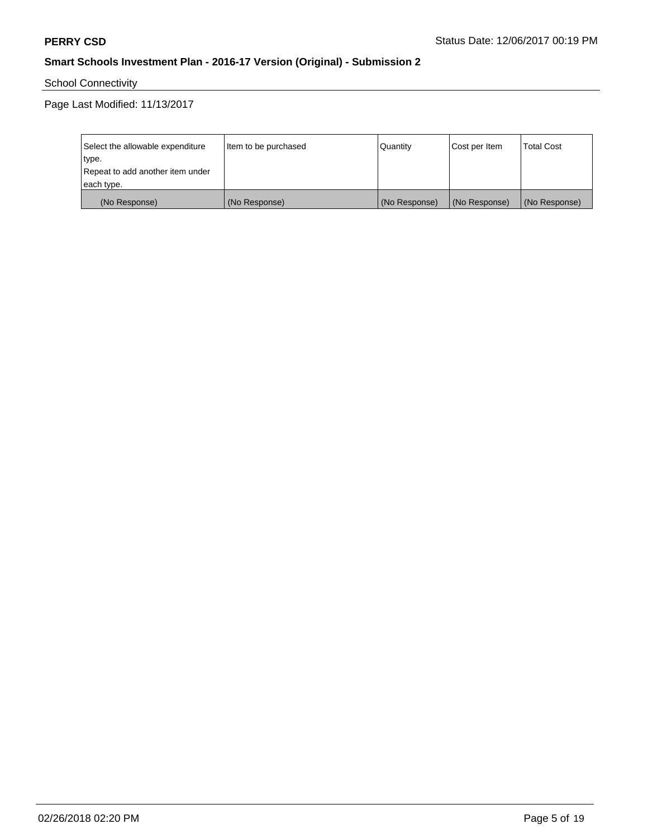School Connectivity

Page Last Modified: 11/13/2017

| Select the allowable expenditure | Item to be purchased | Quantity      | Cost per Item | <b>Total Cost</b> |
|----------------------------------|----------------------|---------------|---------------|-------------------|
| type.                            |                      |               |               |                   |
| Repeat to add another item under |                      |               |               |                   |
| each type.                       |                      |               |               |                   |
| (No Response)                    | (No Response)        | (No Response) | (No Response) | (No Response)     |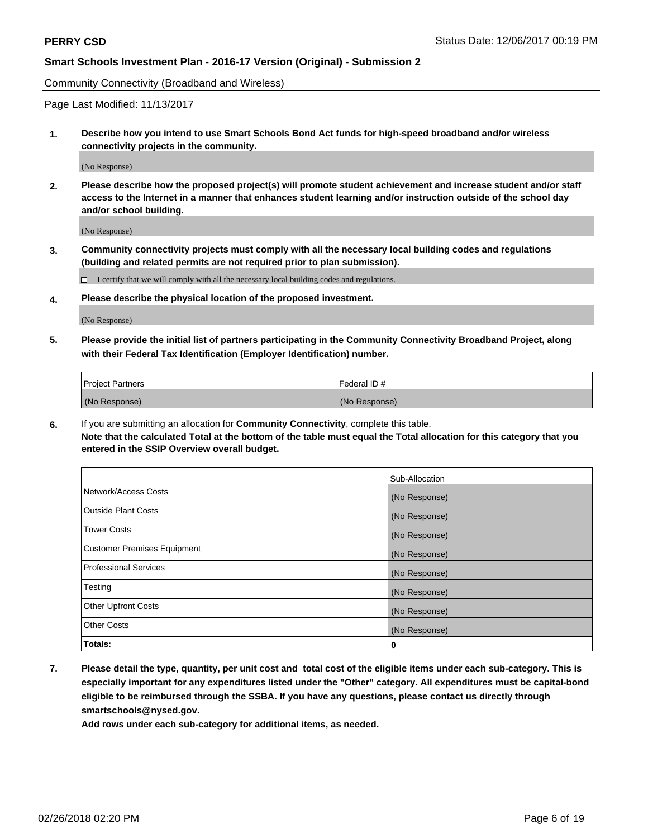Community Connectivity (Broadband and Wireless)

Page Last Modified: 11/13/2017

**1. Describe how you intend to use Smart Schools Bond Act funds for high-speed broadband and/or wireless connectivity projects in the community.**

(No Response)

**2. Please describe how the proposed project(s) will promote student achievement and increase student and/or staff access to the Internet in a manner that enhances student learning and/or instruction outside of the school day and/or school building.**

(No Response)

**3. Community connectivity projects must comply with all the necessary local building codes and regulations (building and related permits are not required prior to plan submission).**

 $\Box$  I certify that we will comply with all the necessary local building codes and regulations.

**4. Please describe the physical location of the proposed investment.**

(No Response)

**5. Please provide the initial list of partners participating in the Community Connectivity Broadband Project, along with their Federal Tax Identification (Employer Identification) number.**

| <b>Project Partners</b> | Federal ID #  |
|-------------------------|---------------|
| (No Response)           | (No Response) |

**6.** If you are submitting an allocation for **Community Connectivity**, complete this table. **Note that the calculated Total at the bottom of the table must equal the Total allocation for this category that you entered in the SSIP Overview overall budget.**

|                                    | Sub-Allocation |
|------------------------------------|----------------|
| Network/Access Costs               | (No Response)  |
| Outside Plant Costs                | (No Response)  |
| <b>Tower Costs</b>                 | (No Response)  |
| <b>Customer Premises Equipment</b> | (No Response)  |
| <b>Professional Services</b>       | (No Response)  |
| Testing                            | (No Response)  |
| <b>Other Upfront Costs</b>         | (No Response)  |
| <b>Other Costs</b>                 | (No Response)  |
| Totals:                            | 0              |

**7. Please detail the type, quantity, per unit cost and total cost of the eligible items under each sub-category. This is especially important for any expenditures listed under the "Other" category. All expenditures must be capital-bond eligible to be reimbursed through the SSBA. If you have any questions, please contact us directly through smartschools@nysed.gov.**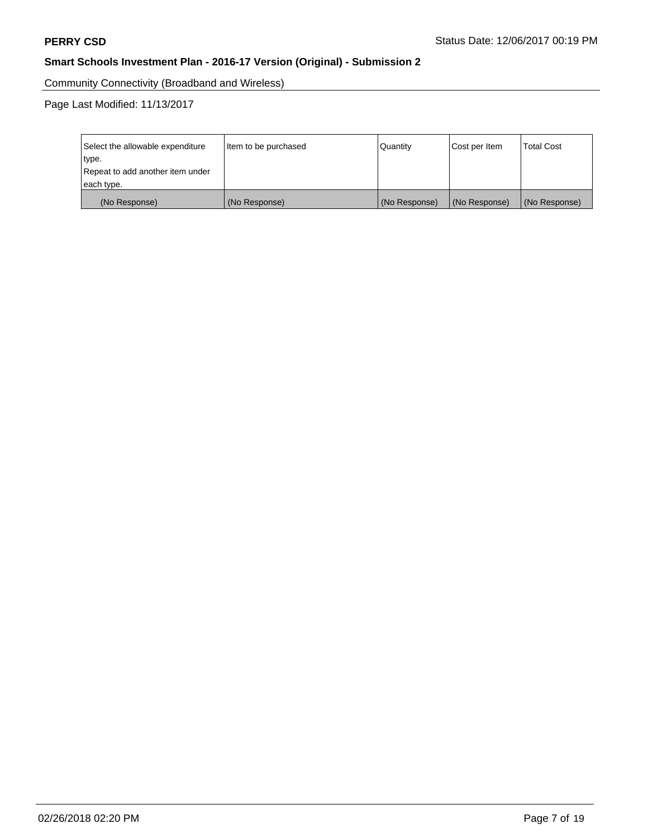Community Connectivity (Broadband and Wireless)

Page Last Modified: 11/13/2017

| Select the allowable expenditure<br>type.<br>Repeat to add another item under | Item to be purchased | Quantity      | Cost per Item | <b>Total Cost</b> |
|-------------------------------------------------------------------------------|----------------------|---------------|---------------|-------------------|
| each type.                                                                    |                      |               |               |                   |
| (No Response)                                                                 | (No Response)        | (No Response) | (No Response) | (No Response)     |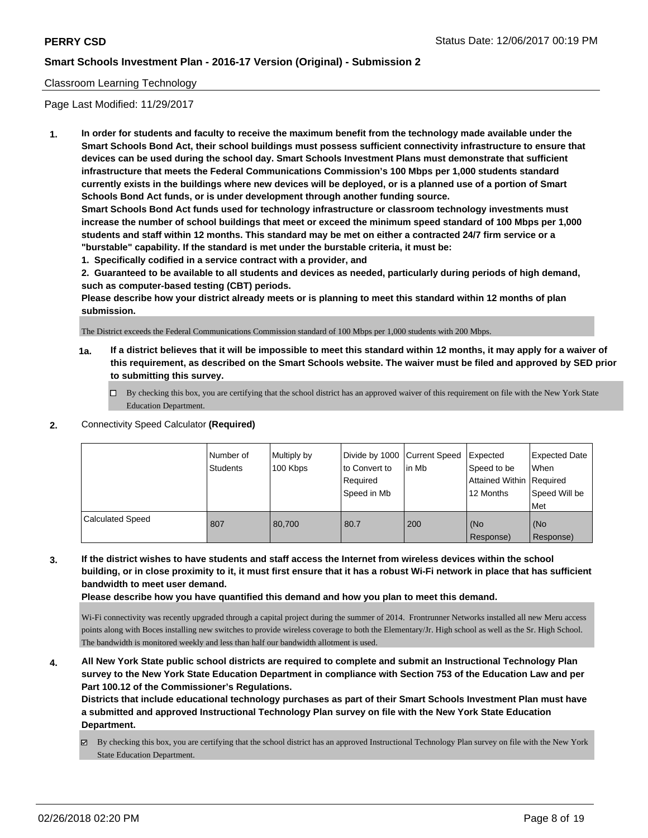### Classroom Learning Technology

Page Last Modified: 11/29/2017

**1. In order for students and faculty to receive the maximum benefit from the technology made available under the Smart Schools Bond Act, their school buildings must possess sufficient connectivity infrastructure to ensure that devices can be used during the school day. Smart Schools Investment Plans must demonstrate that sufficient infrastructure that meets the Federal Communications Commission's 100 Mbps per 1,000 students standard currently exists in the buildings where new devices will be deployed, or is a planned use of a portion of Smart Schools Bond Act funds, or is under development through another funding source.**

**Smart Schools Bond Act funds used for technology infrastructure or classroom technology investments must increase the number of school buildings that meet or exceed the minimum speed standard of 100 Mbps per 1,000 students and staff within 12 months. This standard may be met on either a contracted 24/7 firm service or a "burstable" capability. If the standard is met under the burstable criteria, it must be:**

**1. Specifically codified in a service contract with a provider, and**

**2. Guaranteed to be available to all students and devices as needed, particularly during periods of high demand, such as computer-based testing (CBT) periods.**

**Please describe how your district already meets or is planning to meet this standard within 12 months of plan submission.**

The District exceeds the Federal Communications Commission standard of 100 Mbps per 1,000 students with 200 Mbps.

- **1a. If a district believes that it will be impossible to meet this standard within 12 months, it may apply for a waiver of this requirement, as described on the Smart Schools website. The waiver must be filed and approved by SED prior to submitting this survey.**
	- By checking this box, you are certifying that the school district has an approved waiver of this requirement on file with the New York State Education Department.
- **2.** Connectivity Speed Calculator **(Required)**

|                         | Number of<br>Students | Multiply by<br>100 Kbps | Divide by 1000 Current Speed<br>to Convert to<br>Required<br>Speed in Mb | in Mb | Expected<br>Speed to be<br>Attained Within   Required<br>12 Months | <b>Expected Date</b><br>When<br>Speed Will be<br>Met |
|-------------------------|-----------------------|-------------------------|--------------------------------------------------------------------------|-------|--------------------------------------------------------------------|------------------------------------------------------|
| <b>Calculated Speed</b> | 807                   | 80,700                  | 80.7                                                                     | 200   | (No<br>Response)                                                   | (No<br>Response)                                     |

## **3. If the district wishes to have students and staff access the Internet from wireless devices within the school building, or in close proximity to it, it must first ensure that it has a robust Wi-Fi network in place that has sufficient bandwidth to meet user demand.**

**Please describe how you have quantified this demand and how you plan to meet this demand.**

Wi-Fi connectivity was recently upgraded through a capital project during the summer of 2014. Frontrunner Networks installed all new Meru access points along with Boces installing new switches to provide wireless coverage to both the Elementary/Jr. High school as well as the Sr. High School. The bandwidth is monitored weekly and less than half our bandwidth allotment is used.

**4. All New York State public school districts are required to complete and submit an Instructional Technology Plan survey to the New York State Education Department in compliance with Section 753 of the Education Law and per Part 100.12 of the Commissioner's Regulations.**

**Districts that include educational technology purchases as part of their Smart Schools Investment Plan must have a submitted and approved Instructional Technology Plan survey on file with the New York State Education Department.**

By checking this box, you are certifying that the school district has an approved Instructional Technology Plan survey on file with the New York State Education Department.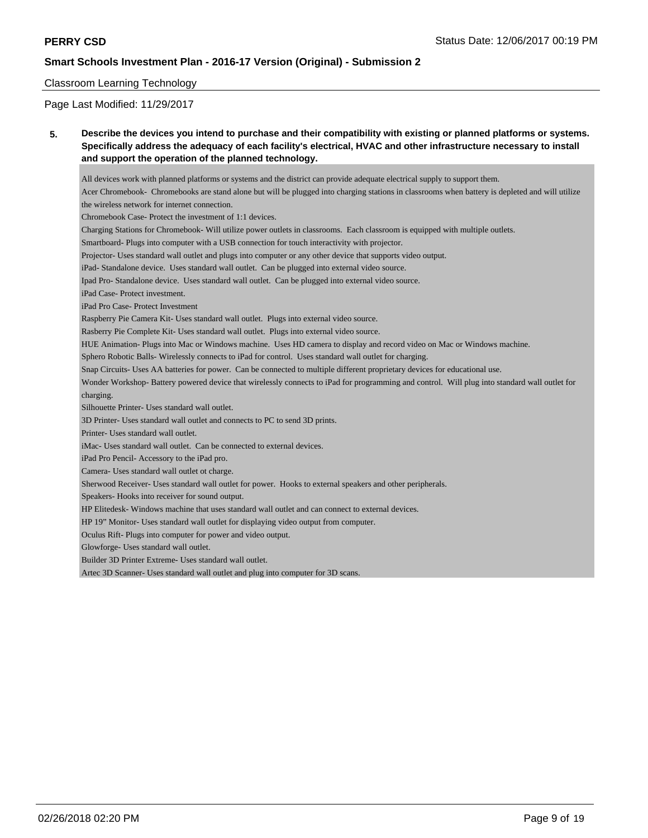#### Classroom Learning Technology

Page Last Modified: 11/29/2017

**5. Describe the devices you intend to purchase and their compatibility with existing or planned platforms or systems. Specifically address the adequacy of each facility's electrical, HVAC and other infrastructure necessary to install and support the operation of the planned technology.**

All devices work with planned platforms or systems and the district can provide adequate electrical supply to support them. Acer Chromebook- Chromebooks are stand alone but will be plugged into charging stations in classrooms when battery is depleted and will utilize the wireless network for internet connection. Chromebook Case- Protect the investment of 1:1 devices. Charging Stations for Chromebook- Will utilize power outlets in classrooms. Each classroom is equipped with multiple outlets. Smartboard- Plugs into computer with a USB connection for touch interactivity with projector. Projector- Uses standard wall outlet and plugs into computer or any other device that supports video output. iPad- Standalone device. Uses standard wall outlet. Can be plugged into external video source. Ipad Pro- Standalone device. Uses standard wall outlet. Can be plugged into external video source. iPad Case- Protect investment. iPad Pro Case- Protect Investment Raspberry Pie Camera Kit- Uses standard wall outlet. Plugs into external video source. Rasberry Pie Complete Kit- Uses standard wall outlet. Plugs into external video source. HUE Animation- Plugs into Mac or Windows machine. Uses HD camera to display and record video on Mac or Windows machine. Sphero Robotic Balls- Wirelessly connects to iPad for control. Uses standard wall outlet for charging. Snap Circuits- Uses AA batteries for power. Can be connected to multiple different proprietary devices for educational use. Wonder Workshop- Battery powered device that wirelessly connects to iPad for programming and control. Will plug into standard wall outlet for charging. Silhouette Printer- Uses standard wall outlet. 3D Printer- Uses standard wall outlet and connects to PC to send 3D prints. Printer- Uses standard wall outlet. iMac- Uses standard wall outlet. Can be connected to external devices. iPad Pro Pencil- Accessory to the iPad pro. Camera- Uses standard wall outlet ot charge. Sherwood Receiver- Uses standard wall outlet for power. Hooks to external speakers and other peripherals. Speakers- Hooks into receiver for sound output. HP Elitedesk- Windows machine that uses standard wall outlet and can connect to external devices. HP 19" Monitor- Uses standard wall outlet for displaying video output from computer. Oculus Rift- Plugs into computer for power and video output. Glowforge- Uses standard wall outlet. Builder 3D Printer Extreme- Uses standard wall outlet. Artec 3D Scanner- Uses standard wall outlet and plug into computer for 3D scans.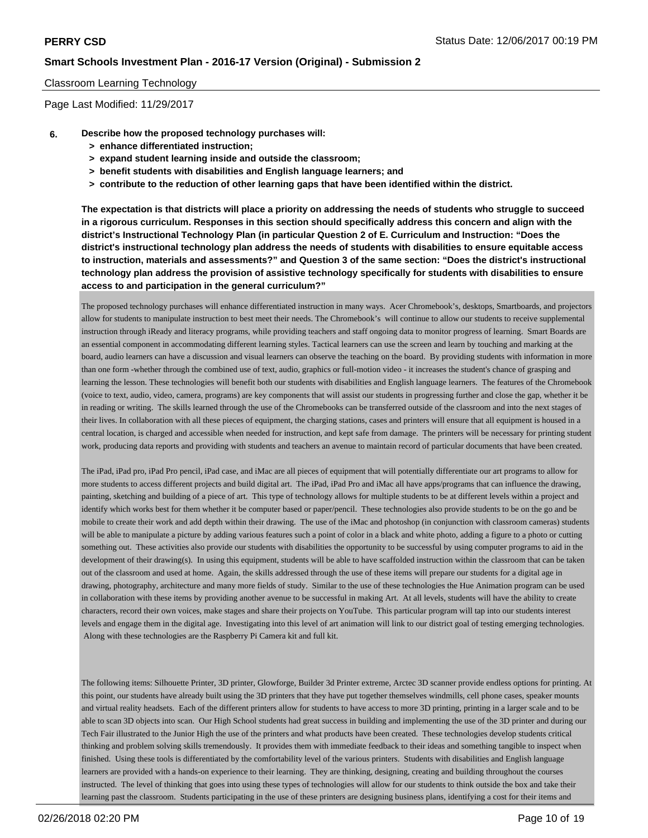#### Classroom Learning Technology

Page Last Modified: 11/29/2017

- **6. Describe how the proposed technology purchases will:**
	- **> enhance differentiated instruction;**
	- **> expand student learning inside and outside the classroom;**
	- **> benefit students with disabilities and English language learners; and**
	- **> contribute to the reduction of other learning gaps that have been identified within the district.**

**The expectation is that districts will place a priority on addressing the needs of students who struggle to succeed in a rigorous curriculum. Responses in this section should specifically address this concern and align with the district's Instructional Technology Plan (in particular Question 2 of E. Curriculum and Instruction: "Does the district's instructional technology plan address the needs of students with disabilities to ensure equitable access to instruction, materials and assessments?" and Question 3 of the same section: "Does the district's instructional technology plan address the provision of assistive technology specifically for students with disabilities to ensure access to and participation in the general curriculum?"**

The proposed technology purchases will enhance differentiated instruction in many ways. Acer Chromebook's, desktops, Smartboards, and projectors allow for students to manipulate instruction to best meet their needs. The Chromebook's will continue to allow our students to receive supplemental instruction through iReady and literacy programs, while providing teachers and staff ongoing data to monitor progress of learning. Smart Boards are an essential component in accommodating different learning styles. Tactical learners can use the screen and learn by touching and marking at the board, audio learners can have a discussion and visual learners can observe the teaching on the board. By providing students with information in more than one form -whether through the combined use of text, audio, graphics or full-motion video - it increases the student's chance of grasping and learning the lesson. These technologies will benefit both our students with disabilities and English language learners. The features of the Chromebook (voice to text, audio, video, camera, programs) are key components that will assist our students in progressing further and close the gap, whether it be in reading or writing. The skills learned through the use of the Chromebooks can be transferred outside of the classroom and into the next stages of their lives. In collaboration with all these pieces of equipment, the charging stations, cases and printers will ensure that all equipment is housed in a central location, is charged and accessible when needed for instruction, and kept safe from damage. The printers will be necessary for printing student work, producing data reports and providing with students and teachers an avenue to maintain record of particular documents that have been created.

The iPad, iPad pro, iPad Pro pencil, iPad case, and iMac are all pieces of equipment that will potentially differentiate our art programs to allow for more students to access different projects and build digital art. The iPad, iPad Pro and iMac all have apps/programs that can influence the drawing, painting, sketching and building of a piece of art. This type of technology allows for multiple students to be at different levels within a project and identify which works best for them whether it be computer based or paper/pencil. These technologies also provide students to be on the go and be mobile to create their work and add depth within their drawing. The use of the iMac and photoshop (in conjunction with classroom cameras) students will be able to manipulate a picture by adding various features such a point of color in a black and white photo, adding a figure to a photo or cutting something out. These activities also provide our students with disabilities the opportunity to be successful by using computer programs to aid in the development of their drawing(s). In using this equipment, students will be able to have scaffolded instruction within the classroom that can be taken out of the classroom and used at home. Again, the skills addressed through the use of these items will prepare our students for a digital age in drawing, photography, architecture and many more fields of study. Similar to the use of these technologies the Hue Animation program can be used in collaboration with these items by providing another avenue to be successful in making Art. At all levels, students will have the ability to create characters, record their own voices, make stages and share their projects on YouTube. This particular program will tap into our students interest levels and engage them in the digital age. Investigating into this level of art animation will link to our district goal of testing emerging technologies. Along with these technologies are the Raspberry Pi Camera kit and full kit.

The following items: Silhouette Printer, 3D printer, Glowforge, Builder 3d Printer extreme, Arctec 3D scanner provide endless options for printing. At this point, our students have already built using the 3D printers that they have put together themselves windmills, cell phone cases, speaker mounts and virtual reality headsets. Each of the different printers allow for students to have access to more 3D printing, printing in a larger scale and to be able to scan 3D objects into scan. Our High School students had great success in building and implementing the use of the 3D printer and during our Tech Fair illustrated to the Junior High the use of the printers and what products have been created. These technologies develop students critical thinking and problem solving skills tremendously. It provides them with immediate feedback to their ideas and something tangible to inspect when finished. Using these tools is differentiated by the comfortability level of the various printers. Students with disabilities and English language learners are provided with a hands-on experience to their learning. They are thinking, designing, creating and building throughout the courses instructed. The level of thinking that goes into using these types of technologies will allow for our students to think outside the box and take their learning past the classroom. Students participating in the use of these printers are designing business plans, identifying a cost for their items and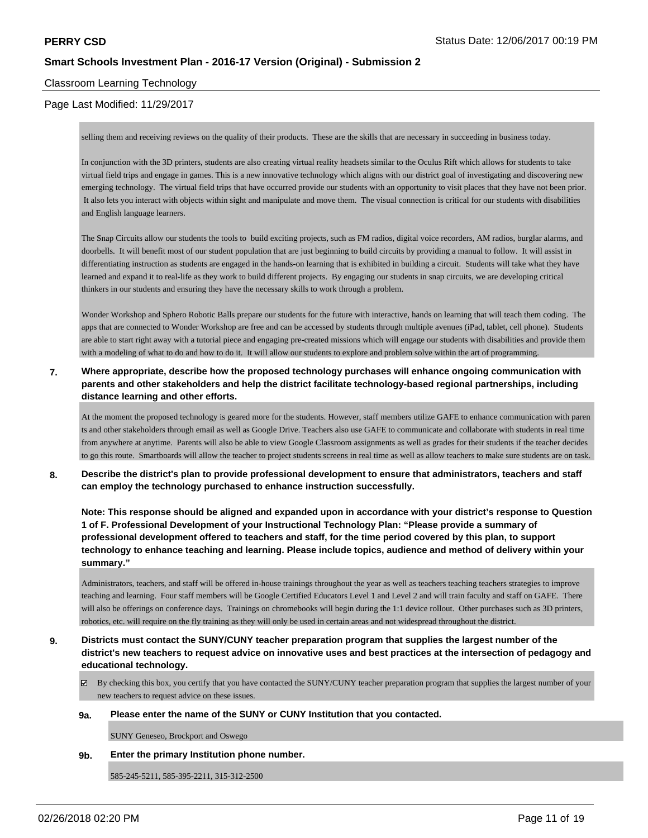## Classroom Learning Technology

## Page Last Modified: 11/29/2017

selling them and receiving reviews on the quality of their products. These are the skills that are necessary in succeeding in business today.

In conjunction with the 3D printers, students are also creating virtual reality headsets similar to the Oculus Rift which allows for students to take virtual field trips and engage in games. This is a new innovative technology which aligns with our district goal of investigating and discovering new emerging technology. The virtual field trips that have occurred provide our students with an opportunity to visit places that they have not been prior. It also lets you interact with objects within sight and manipulate and move them. The visual connection is critical for our students with disabilities and English language learners.

The Snap Circuits allow our students the tools to build exciting projects, such as FM radios, digital voice recorders, AM radios, burglar alarms, and doorbells. It will benefit most of our student population that are just beginning to build circuits by providing a manual to follow. It will assist in differentiating instruction as students are engaged in the hands-on learning that is exhibited in building a circuit. Students will take what they have learned and expand it to real-life as they work to build different projects. By engaging our students in snap circuits, we are developing critical thinkers in our students and ensuring they have the necessary skills to work through a problem.

Wonder Workshop and Sphero Robotic Balls prepare our students for the future with interactive, hands on learning that will teach them coding. The apps that are connected to Wonder Workshop are free and can be accessed by students through multiple avenues (iPad, tablet, cell phone). Students are able to start right away with a tutorial piece and engaging pre-created missions which will engage our students with disabilities and provide them with a modeling of what to do and how to do it. It will allow our students to explore and problem solve within the art of programming.

## **7. Where appropriate, describe how the proposed technology purchases will enhance ongoing communication with parents and other stakeholders and help the district facilitate technology-based regional partnerships, including distance learning and other efforts.**

At the moment the proposed technology is geared more for the students. However, staff members utilize GAFE to enhance communication with paren ts and other stakeholders through email as well as Google Drive. Teachers also use GAFE to communicate and collaborate with students in real time from anywhere at anytime. Parents will also be able to view Google Classroom assignments as well as grades for their students if the teacher decides to go this route. Smartboards will allow the teacher to project students screens in real time as well as allow teachers to make sure students are on task.

**8. Describe the district's plan to provide professional development to ensure that administrators, teachers and staff can employ the technology purchased to enhance instruction successfully.**

**Note: This response should be aligned and expanded upon in accordance with your district's response to Question 1 of F. Professional Development of your Instructional Technology Plan: "Please provide a summary of professional development offered to teachers and staff, for the time period covered by this plan, to support technology to enhance teaching and learning. Please include topics, audience and method of delivery within your summary."**

Administrators, teachers, and staff will be offered in-house trainings throughout the year as well as teachers teaching teachers strategies to improve teaching and learning. Four staff members will be Google Certified Educators Level 1 and Level 2 and will train faculty and staff on GAFE. There will also be offerings on conference days. Trainings on chromebooks will begin during the 1:1 device rollout. Other purchases such as 3D printers, robotics, etc. will require on the fly training as they will only be used in certain areas and not widespread throughout the district.

- **9. Districts must contact the SUNY/CUNY teacher preparation program that supplies the largest number of the district's new teachers to request advice on innovative uses and best practices at the intersection of pedagogy and educational technology.**
	- By checking this box, you certify that you have contacted the SUNY/CUNY teacher preparation program that supplies the largest number of your new teachers to request advice on these issues.

#### **9a. Please enter the name of the SUNY or CUNY Institution that you contacted.**

SUNY Geneseo, Brockport and Oswego

**9b. Enter the primary Institution phone number.**

585-245-5211, 585-395-2211, 315-312-2500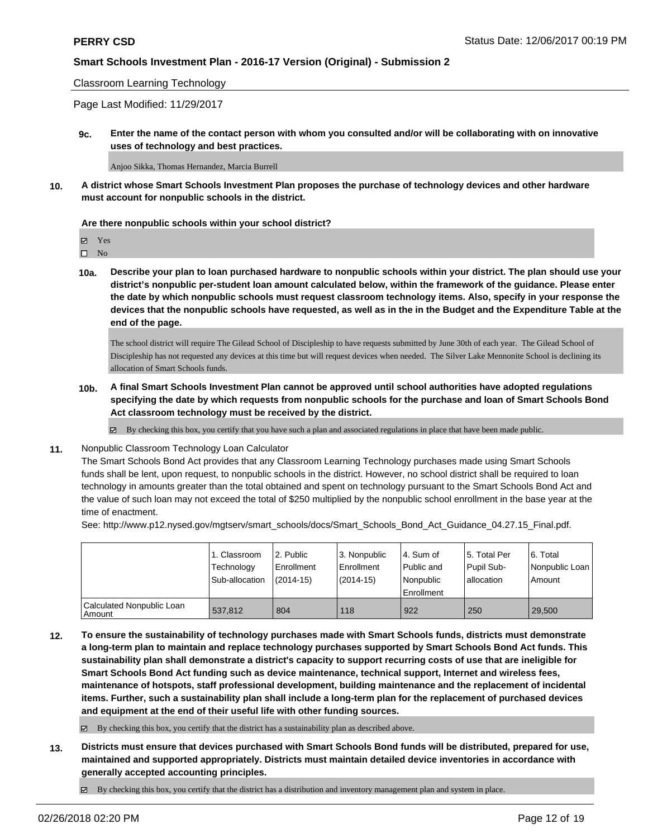#### Classroom Learning Technology

Page Last Modified: 11/29/2017

**9c. Enter the name of the contact person with whom you consulted and/or will be collaborating with on innovative uses of technology and best practices.**

Anjoo Sikka, Thomas Hernandez, Marcia Burrell

**10. A district whose Smart Schools Investment Plan proposes the purchase of technology devices and other hardware must account for nonpublic schools in the district.**

#### **Are there nonpublic schools within your school district?**

 $\hfill \square$  No

**10a. Describe your plan to loan purchased hardware to nonpublic schools within your district. The plan should use your district's nonpublic per-student loan amount calculated below, within the framework of the guidance. Please enter the date by which nonpublic schools must request classroom technology items. Also, specify in your response the devices that the nonpublic schools have requested, as well as in the in the Budget and the Expenditure Table at the end of the page.**

The school district will require The Gilead School of Discipleship to have requests submitted by June 30th of each year. The Gilead School of Discipleship has not requested any devices at this time but will request devices when needed. The Silver Lake Mennonite School is declining its allocation of Smart Schools funds.

**10b. A final Smart Schools Investment Plan cannot be approved until school authorities have adopted regulations specifying the date by which requests from nonpublic schools for the purchase and loan of Smart Schools Bond Act classroom technology must be received by the district.**

 $\boxtimes$  By checking this box, you certify that you have such a plan and associated regulations in place that have been made public.

#### **11.** Nonpublic Classroom Technology Loan Calculator

The Smart Schools Bond Act provides that any Classroom Learning Technology purchases made using Smart Schools funds shall be lent, upon request, to nonpublic schools in the district. However, no school district shall be required to loan technology in amounts greater than the total obtained and spent on technology pursuant to the Smart Schools Bond Act and the value of such loan may not exceed the total of \$250 multiplied by the nonpublic school enrollment in the base year at the time of enactment.

See: http://www.p12.nysed.gov/mgtserv/smart\_schools/docs/Smart\_Schools\_Bond\_Act\_Guidance\_04.27.15\_Final.pdf.

|                                       | 1. Classroom<br>Technology<br>Sub-allocation | l 2. Public<br>Enrollment<br>$(2014-15)$ | 3. Nonpublic<br>l Enrollment<br>(2014-15) | l 4. Sum of<br>Public and<br>Nonpublic<br>Enrollment | 15. Total Per<br>Pupil Sub-<br>lallocation | l 6. Total<br>Nonpublic Loan<br>Amount |
|---------------------------------------|----------------------------------------------|------------------------------------------|-------------------------------------------|------------------------------------------------------|--------------------------------------------|----------------------------------------|
| Calculated Nonpublic Loan<br>l Amount | 537.812                                      | 804                                      | 118                                       | 922                                                  | 250                                        | 29,500                                 |

**12. To ensure the sustainability of technology purchases made with Smart Schools funds, districts must demonstrate a long-term plan to maintain and replace technology purchases supported by Smart Schools Bond Act funds. This sustainability plan shall demonstrate a district's capacity to support recurring costs of use that are ineligible for Smart Schools Bond Act funding such as device maintenance, technical support, Internet and wireless fees, maintenance of hotspots, staff professional development, building maintenance and the replacement of incidental items. Further, such a sustainability plan shall include a long-term plan for the replacement of purchased devices and equipment at the end of their useful life with other funding sources.**

 $\boxtimes$  By checking this box, you certify that the district has a sustainability plan as described above.

- **13. Districts must ensure that devices purchased with Smart Schools Bond funds will be distributed, prepared for use, maintained and supported appropriately. Districts must maintain detailed device inventories in accordance with generally accepted accounting principles.**
	- By checking this box, you certify that the district has a distribution and inventory management plan and system in place.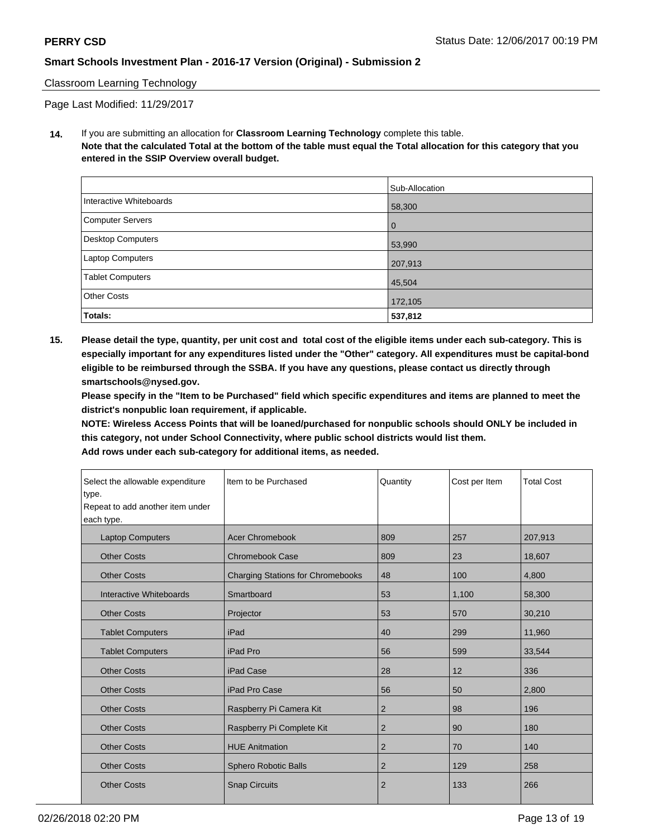## Classroom Learning Technology

Page Last Modified: 11/29/2017

**14.** If you are submitting an allocation for **Classroom Learning Technology** complete this table. **Note that the calculated Total at the bottom of the table must equal the Total allocation for this category that you entered in the SSIP Overview overall budget.**

|                          | Sub-Allocation |
|--------------------------|----------------|
| Interactive Whiteboards  | 58,300         |
| Computer Servers         | l 0            |
| <b>Desktop Computers</b> | 53,990         |
| Laptop Computers         | 207,913        |
| <b>Tablet Computers</b>  | 45,504         |
| <b>Other Costs</b>       | 172,105        |
| Totals:                  | 537,812        |

**15. Please detail the type, quantity, per unit cost and total cost of the eligible items under each sub-category. This is especially important for any expenditures listed under the "Other" category. All expenditures must be capital-bond eligible to be reimbursed through the SSBA. If you have any questions, please contact us directly through smartschools@nysed.gov.**

**Please specify in the "Item to be Purchased" field which specific expenditures and items are planned to meet the district's nonpublic loan requirement, if applicable.**

**NOTE: Wireless Access Points that will be loaned/purchased for nonpublic schools should ONLY be included in this category, not under School Connectivity, where public school districts would list them.**

| Select the allowable expenditure<br>type.<br>Repeat to add another item under<br>each type. | Item to be Purchased                     | Quantity       | Cost per Item | <b>Total Cost</b> |
|---------------------------------------------------------------------------------------------|------------------------------------------|----------------|---------------|-------------------|
| <b>Laptop Computers</b>                                                                     | <b>Acer Chromebook</b>                   | 809            | 257           | 207,913           |
| <b>Other Costs</b>                                                                          | <b>Chromebook Case</b>                   | 809            | 23            | 18,607            |
| <b>Other Costs</b>                                                                          | <b>Charging Stations for Chromebooks</b> | 48             | 100           | 4,800             |
| Interactive Whiteboards                                                                     | Smartboard                               | 53             | 1,100         | 58,300            |
| <b>Other Costs</b>                                                                          | Projector                                | 53             | 570           | 30,210            |
| <b>Tablet Computers</b>                                                                     | iPad                                     | 40             | 299           | 11,960            |
| <b>Tablet Computers</b>                                                                     | iPad Pro                                 | 56             | 599           | 33,544            |
| <b>Other Costs</b>                                                                          | iPad Case                                | 28             | 12            | 336               |
| <b>Other Costs</b>                                                                          | iPad Pro Case                            | 56             | 50            | 2,800             |
| <b>Other Costs</b>                                                                          | Raspberry Pi Camera Kit                  | $\overline{2}$ | 98            | 196               |
| <b>Other Costs</b>                                                                          | Raspberry Pi Complete Kit                | 2              | 90            | 180               |
| <b>Other Costs</b>                                                                          | <b>HUE Anitmation</b>                    | $\overline{2}$ | 70            | 140               |
| <b>Other Costs</b>                                                                          | <b>Sphero Robotic Balls</b>              | 2              | 129           | 258               |
| <b>Other Costs</b>                                                                          | <b>Snap Circuits</b>                     | $\overline{2}$ | 133           | 266               |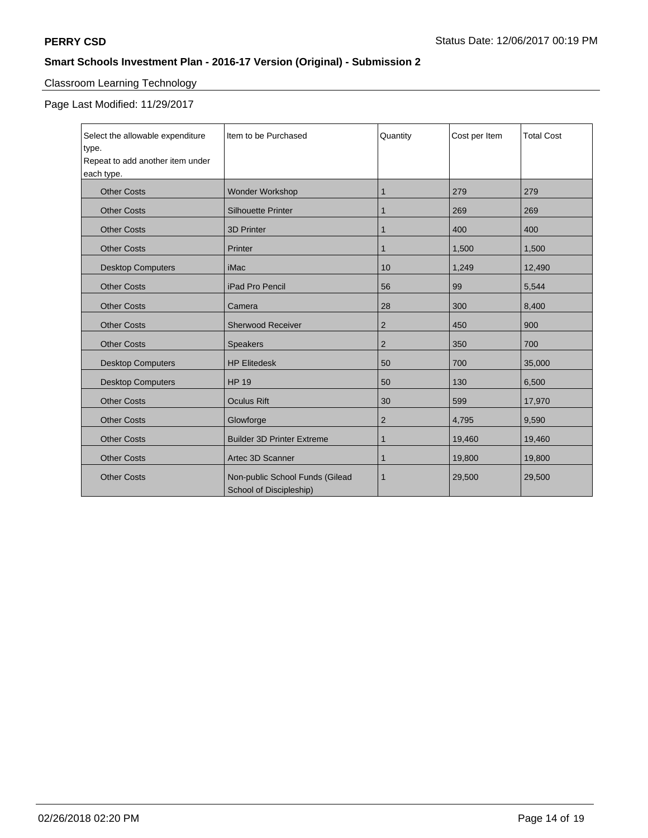# Classroom Learning Technology

Page Last Modified: 11/29/2017

| Select the allowable expenditure<br>type.<br>Repeat to add another item under<br>each type. | Item to be Purchased                                       | Quantity       | Cost per Item | <b>Total Cost</b> |
|---------------------------------------------------------------------------------------------|------------------------------------------------------------|----------------|---------------|-------------------|
| <b>Other Costs</b>                                                                          | <b>Wonder Workshop</b>                                     | 1              | 279           | 279               |
| <b>Other Costs</b>                                                                          | <b>Silhouette Printer</b>                                  | 1              | 269           | 269               |
| <b>Other Costs</b>                                                                          | <b>3D Printer</b>                                          | 1              | 400           | 400               |
| <b>Other Costs</b>                                                                          | Printer                                                    | $\mathbf{1}$   | 1,500         | 1,500             |
| <b>Desktop Computers</b>                                                                    | iMac                                                       | 10             | 1,249         | 12,490            |
| <b>Other Costs</b>                                                                          | iPad Pro Pencil                                            | 56             | 99            | 5,544             |
| <b>Other Costs</b>                                                                          | Camera                                                     | 28             | 300           | 8,400             |
| <b>Other Costs</b>                                                                          | <b>Sherwood Receiver</b>                                   | $\overline{c}$ | 450           | 900               |
| <b>Other Costs</b>                                                                          | <b>Speakers</b>                                            | $\overline{2}$ | 350           | 700               |
| <b>Desktop Computers</b>                                                                    | <b>HP Elitedesk</b>                                        | 50             | 700           | 35,000            |
| <b>Desktop Computers</b>                                                                    | <b>HP 19</b>                                               | 50             | 130           | 6,500             |
| <b>Other Costs</b>                                                                          | <b>Oculus Rift</b>                                         | 30             | 599           | 17,970            |
| <b>Other Costs</b>                                                                          | Glowforge                                                  | 2              | 4,795         | 9,590             |
| <b>Other Costs</b>                                                                          | <b>Builder 3D Printer Extreme</b>                          | 1              | 19,460        | 19,460            |
| <b>Other Costs</b>                                                                          | Artec 3D Scanner                                           | 1              | 19,800        | 19,800            |
| <b>Other Costs</b>                                                                          | Non-public School Funds (Gilead<br>School of Discipleship) | 1              | 29,500        | 29,500            |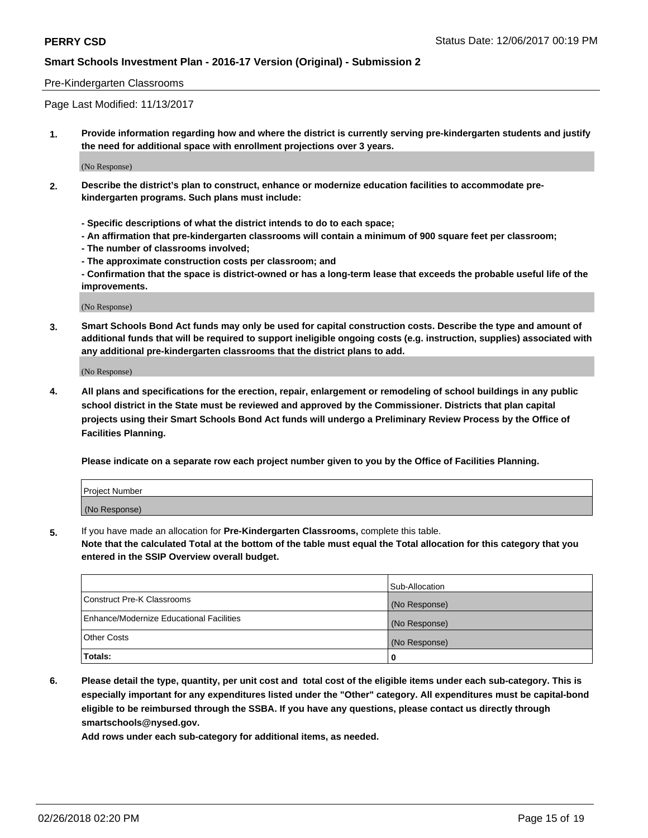### Pre-Kindergarten Classrooms

Page Last Modified: 11/13/2017

**1. Provide information regarding how and where the district is currently serving pre-kindergarten students and justify the need for additional space with enrollment projections over 3 years.**

(No Response)

- **2. Describe the district's plan to construct, enhance or modernize education facilities to accommodate prekindergarten programs. Such plans must include:**
	- **Specific descriptions of what the district intends to do to each space;**
	- **An affirmation that pre-kindergarten classrooms will contain a minimum of 900 square feet per classroom;**
	- **The number of classrooms involved;**
	- **The approximate construction costs per classroom; and**
	- **Confirmation that the space is district-owned or has a long-term lease that exceeds the probable useful life of the improvements.**

(No Response)

**3. Smart Schools Bond Act funds may only be used for capital construction costs. Describe the type and amount of additional funds that will be required to support ineligible ongoing costs (e.g. instruction, supplies) associated with any additional pre-kindergarten classrooms that the district plans to add.**

(No Response)

**4. All plans and specifications for the erection, repair, enlargement or remodeling of school buildings in any public school district in the State must be reviewed and approved by the Commissioner. Districts that plan capital projects using their Smart Schools Bond Act funds will undergo a Preliminary Review Process by the Office of Facilities Planning.**

**Please indicate on a separate row each project number given to you by the Office of Facilities Planning.**

| <b>Project Number</b> |  |
|-----------------------|--|
| (No Response)         |  |

**5.** If you have made an allocation for **Pre-Kindergarten Classrooms,** complete this table.

**Note that the calculated Total at the bottom of the table must equal the Total allocation for this category that you entered in the SSIP Overview overall budget.**

|                                          | Sub-Allocation |
|------------------------------------------|----------------|
| Construct Pre-K Classrooms               | (No Response)  |
| Enhance/Modernize Educational Facilities | (No Response)  |
| Other Costs                              | (No Response)  |
| Totals:                                  | 0              |

**6. Please detail the type, quantity, per unit cost and total cost of the eligible items under each sub-category. This is especially important for any expenditures listed under the "Other" category. All expenditures must be capital-bond eligible to be reimbursed through the SSBA. If you have any questions, please contact us directly through smartschools@nysed.gov.**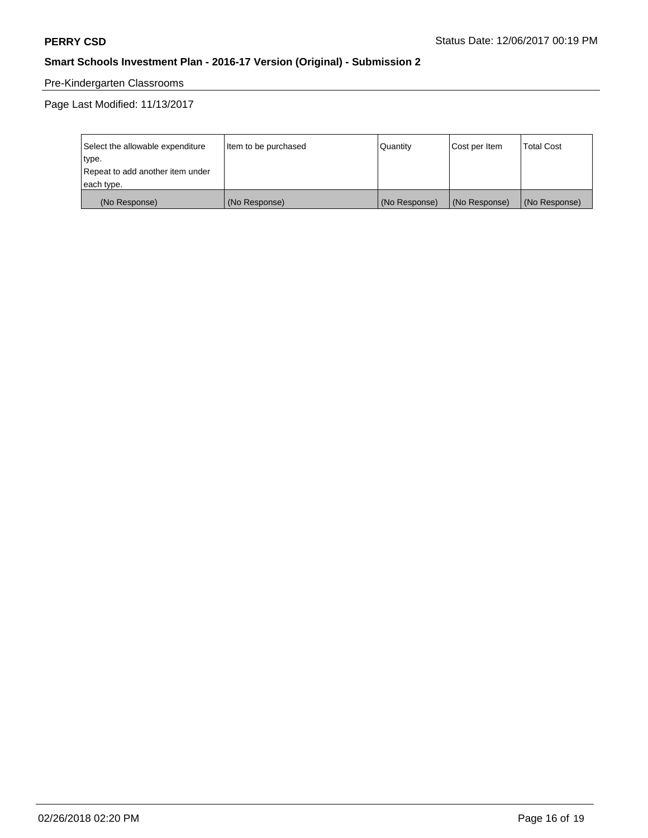# Pre-Kindergarten Classrooms

Page Last Modified: 11/13/2017

| Select the allowable expenditure | Item to be purchased | Quantity      | Cost per Item | <b>Total Cost</b> |
|----------------------------------|----------------------|---------------|---------------|-------------------|
| type.                            |                      |               |               |                   |
| Repeat to add another item under |                      |               |               |                   |
| each type.                       |                      |               |               |                   |
| (No Response)                    | (No Response)        | (No Response) | (No Response) | (No Response)     |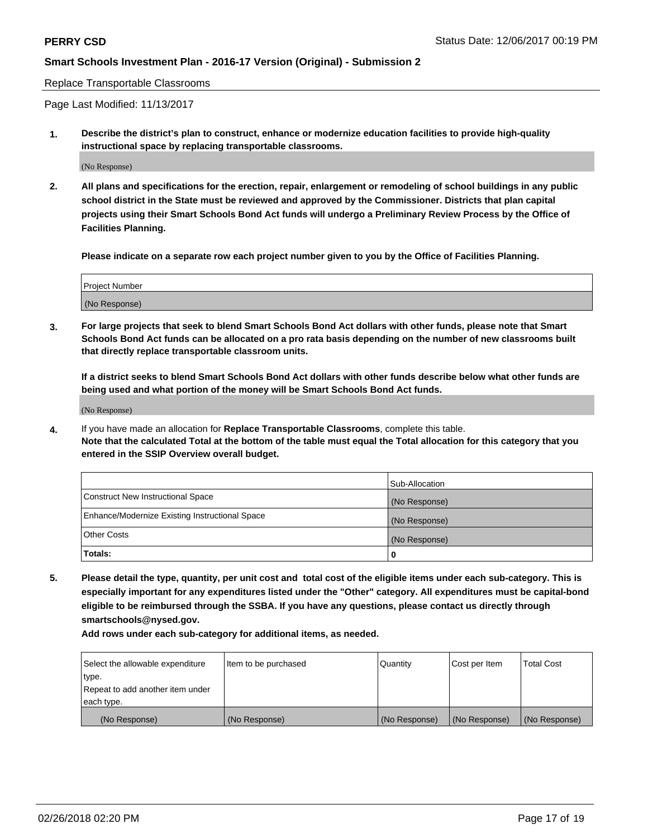Replace Transportable Classrooms

Page Last Modified: 11/13/2017

**1. Describe the district's plan to construct, enhance or modernize education facilities to provide high-quality instructional space by replacing transportable classrooms.**

(No Response)

**2. All plans and specifications for the erection, repair, enlargement or remodeling of school buildings in any public school district in the State must be reviewed and approved by the Commissioner. Districts that plan capital projects using their Smart Schools Bond Act funds will undergo a Preliminary Review Process by the Office of Facilities Planning.**

**Please indicate on a separate row each project number given to you by the Office of Facilities Planning.**

| <b>Project Number</b> |  |
|-----------------------|--|
| (No Response)         |  |
|                       |  |

**3. For large projects that seek to blend Smart Schools Bond Act dollars with other funds, please note that Smart Schools Bond Act funds can be allocated on a pro rata basis depending on the number of new classrooms built that directly replace transportable classroom units.**

**If a district seeks to blend Smart Schools Bond Act dollars with other funds describe below what other funds are being used and what portion of the money will be Smart Schools Bond Act funds.**

(No Response)

**4.** If you have made an allocation for **Replace Transportable Classrooms**, complete this table. **Note that the calculated Total at the bottom of the table must equal the Total allocation for this category that you entered in the SSIP Overview overall budget.**

|                                                | Sub-Allocation |
|------------------------------------------------|----------------|
| Construct New Instructional Space              | (No Response)  |
| Enhance/Modernize Existing Instructional Space | (No Response)  |
| Other Costs                                    | (No Response)  |
| Totals:                                        | 0              |

**5. Please detail the type, quantity, per unit cost and total cost of the eligible items under each sub-category. This is especially important for any expenditures listed under the "Other" category. All expenditures must be capital-bond eligible to be reimbursed through the SSBA. If you have any questions, please contact us directly through smartschools@nysed.gov.**

| Select the allowable expenditure | Item to be purchased | Quantity      | Cost per Item | <b>Total Cost</b> |
|----------------------------------|----------------------|---------------|---------------|-------------------|
| type.                            |                      |               |               |                   |
| Repeat to add another item under |                      |               |               |                   |
| each type.                       |                      |               |               |                   |
| (No Response)                    | (No Response)        | (No Response) | (No Response) | (No Response)     |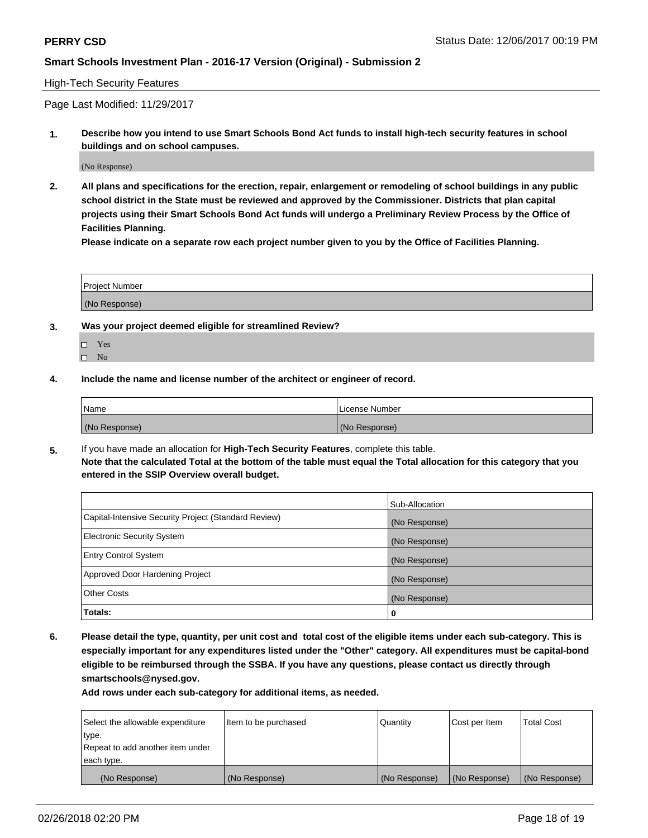### High-Tech Security Features

Page Last Modified: 11/29/2017

**1. Describe how you intend to use Smart Schools Bond Act funds to install high-tech security features in school buildings and on school campuses.**

(No Response)

**2. All plans and specifications for the erection, repair, enlargement or remodeling of school buildings in any public school district in the State must be reviewed and approved by the Commissioner. Districts that plan capital projects using their Smart Schools Bond Act funds will undergo a Preliminary Review Process by the Office of Facilities Planning.** 

**Please indicate on a separate row each project number given to you by the Office of Facilities Planning.**

| <b>Project Number</b> |  |  |
|-----------------------|--|--|
|                       |  |  |
| (No Response)         |  |  |

- **3. Was your project deemed eligible for streamlined Review?**
	- Yes  $\square$  No
- **4. Include the name and license number of the architect or engineer of record.**

| Name          | License Number |
|---------------|----------------|
| (No Response) | (No Response)  |

**5.** If you have made an allocation for **High-Tech Security Features**, complete this table. **Note that the calculated Total at the bottom of the table must equal the Total allocation for this category that you entered in the SSIP Overview overall budget.**

|                                                      | Sub-Allocation |
|------------------------------------------------------|----------------|
| Capital-Intensive Security Project (Standard Review) | (No Response)  |
| <b>Electronic Security System</b>                    | (No Response)  |
| <b>Entry Control System</b>                          | (No Response)  |
| Approved Door Hardening Project                      | (No Response)  |
| <b>Other Costs</b>                                   | (No Response)  |
| Totals:                                              | 0              |

**6. Please detail the type, quantity, per unit cost and total cost of the eligible items under each sub-category. This is especially important for any expenditures listed under the "Other" category. All expenditures must be capital-bond eligible to be reimbursed through the SSBA. If you have any questions, please contact us directly through smartschools@nysed.gov.**

| Select the allowable expenditure | Item to be purchased | Quantity      | Cost per Item | <b>Total Cost</b> |
|----------------------------------|----------------------|---------------|---------------|-------------------|
| type.                            |                      |               |               |                   |
| Repeat to add another item under |                      |               |               |                   |
| each type.                       |                      |               |               |                   |
| (No Response)                    | (No Response)        | (No Response) | (No Response) | (No Response)     |